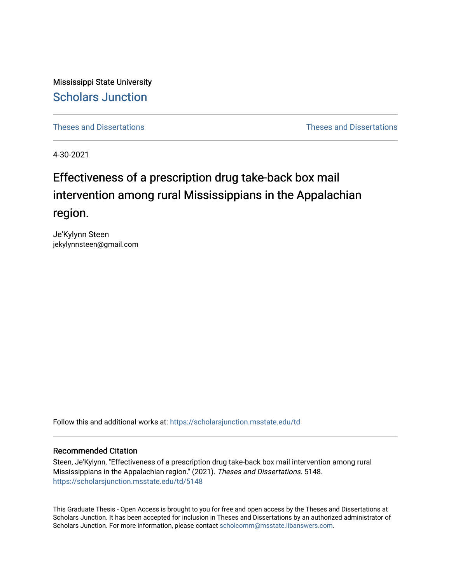Mississippi State University [Scholars Junction](https://scholarsjunction.msstate.edu/) 

[Theses and Dissertations](https://scholarsjunction.msstate.edu/td) [Theses and Dissertations](https://scholarsjunction.msstate.edu/theses-dissertations) 

4-30-2021

# Effectiveness of a prescription drug take-back box mail intervention among rural Mississippians in the Appalachian region.

Je'Kylynn Steen jekylynnsteen@gmail.com

Follow this and additional works at: [https://scholarsjunction.msstate.edu/td](https://scholarsjunction.msstate.edu/td?utm_source=scholarsjunction.msstate.edu%2Ftd%2F5148&utm_medium=PDF&utm_campaign=PDFCoverPages) 

### Recommended Citation

Steen, Je'Kylynn, "Effectiveness of a prescription drug take-back box mail intervention among rural Mississippians in the Appalachian region." (2021). Theses and Dissertations. 5148. [https://scholarsjunction.msstate.edu/td/5148](https://scholarsjunction.msstate.edu/td/5148?utm_source=scholarsjunction.msstate.edu%2Ftd%2F5148&utm_medium=PDF&utm_campaign=PDFCoverPages) 

This Graduate Thesis - Open Access is brought to you for free and open access by the Theses and Dissertations at Scholars Junction. It has been accepted for inclusion in Theses and Dissertations by an authorized administrator of Scholars Junction. For more information, please contact [scholcomm@msstate.libanswers.com.](mailto:scholcomm@msstate.libanswers.com)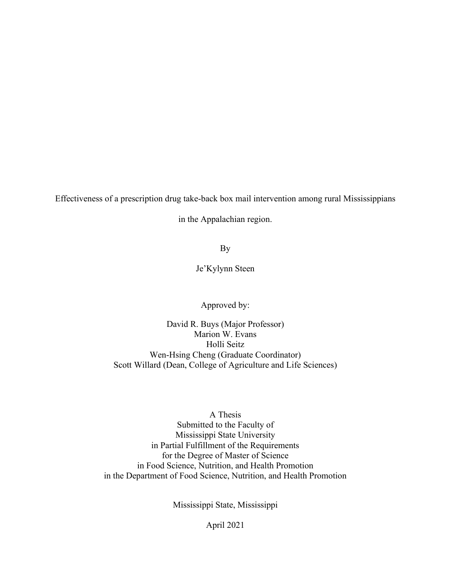Effectiveness of a prescription drug take-back box mail intervention among rural Mississippians

in the Appalachian region.

By

Je'Kylynn Steen

Approved by:

David R. Buys (Major Professor) Marion W. Evans Holli Seitz Wen-Hsing Cheng (Graduate Coordinator) Scott Willard (Dean, College of Agriculture and Life Sciences)

# A Thesis

Submitted to the Faculty of Mississippi State University in Partial Fulfillment of the Requirements for the Degree of Master of Science in Food Science, Nutrition, and Health Promotion in the Department of Food Science, Nutrition, and Health Promotion

Mississippi State, Mississippi

April 2021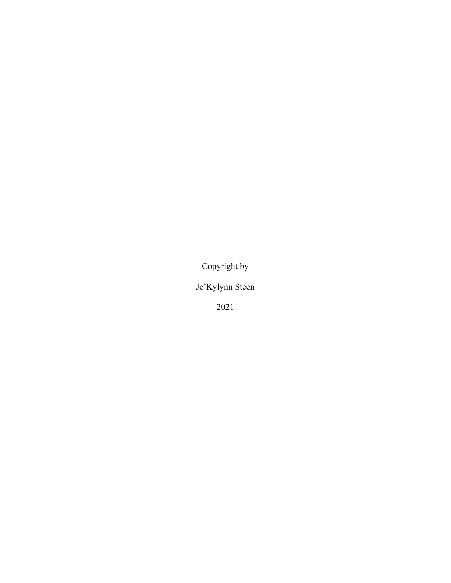Copyright by

Je'Kylynn Steen

2021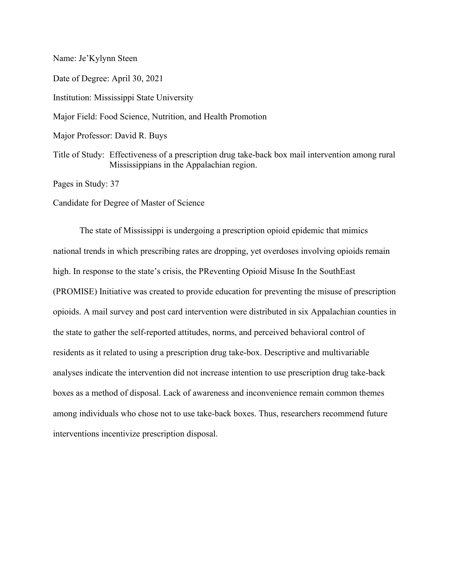Name: Je'Kylynn Steen

Date of Degree: April 30, 2021 Institution: Mississippi State University

Major Field: Food Science, Nutrition, and Health Promotion

Major Professor: David R. Buys

Title of Study: Effectiveness of a prescription drug take-back box mail intervention among rural Mississippians in the Appalachian region.

Pages in Study: 37

Candidate for Degree of Master of Science

The state of Mississippi is undergoing a prescription opioid epidemic that mimics national trends in which prescribing rates are dropping, yet overdoses involving opioids remain high. In response to the state's crisis, the PReventing Opioid Misuse In the SouthEast (PROMISE) Initiative was created to provide education for preventing the misuse of prescription opioids. A mail survey and post card intervention were distributed in six Appalachian counties in the state to gather the self-reported attitudes, norms, and perceived behavioral control of residents as it related to using a prescription drug take-box. Descriptive and multivariable analyses indicate the intervention did not increase intention to use prescription drug take-back boxes as a method of disposal. Lack of awareness and inconvenience remain common themes among individuals who chose not to use take-back boxes. Thus, researchers recommend future interventions incentivize prescription disposal.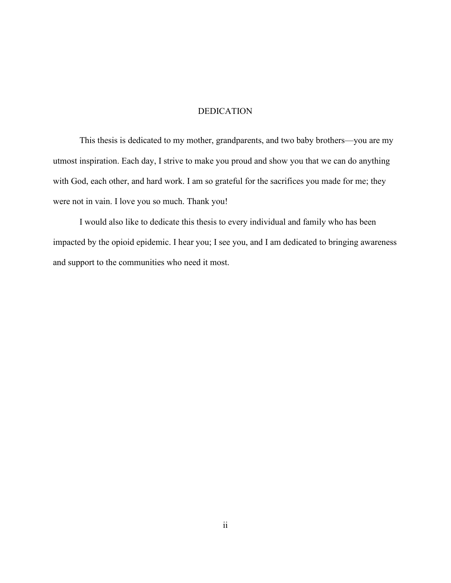### DEDICATION

<span id="page-4-0"></span>This thesis is dedicated to my mother, grandparents, and two baby brothers—you are my utmost inspiration. Each day, I strive to make you proud and show you that we can do anything with God, each other, and hard work. I am so grateful for the sacrifices you made for me; they were not in vain. I love you so much. Thank you!

I would also like to dedicate this thesis to every individual and family who has been impacted by the opioid epidemic. I hear you; I see you, and I am dedicated to bringing awareness and support to the communities who need it most.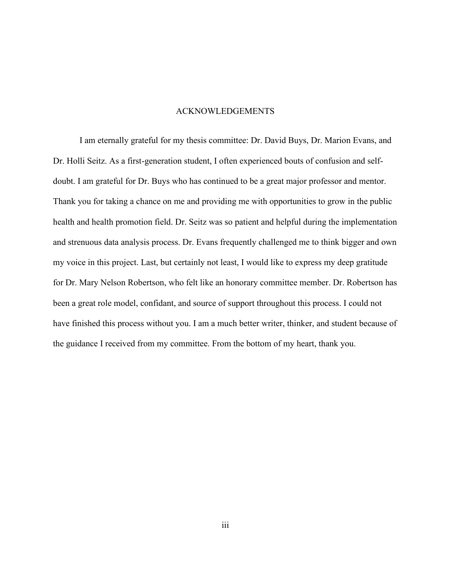#### ACKNOWLEDGEMENTS

<span id="page-5-0"></span>I am eternally grateful for my thesis committee: Dr. David Buys, Dr. Marion Evans, and Dr. Holli Seitz. As a first-generation student, I often experienced bouts of confusion and selfdoubt. I am grateful for Dr. Buys who has continued to be a great major professor and mentor. Thank you for taking a chance on me and providing me with opportunities to grow in the public health and health promotion field. Dr. Seitz was so patient and helpful during the implementation and strenuous data analysis process. Dr. Evans frequently challenged me to think bigger and own my voice in this project. Last, but certainly not least, I would like to express my deep gratitude for Dr. Mary Nelson Robertson, who felt like an honorary committee member. Dr. Robertson has been a great role model, confidant, and source of support throughout this process. I could not have finished this process without you. I am a much better writer, thinker, and student because of the guidance I received from my committee. From the bottom of my heart, thank you.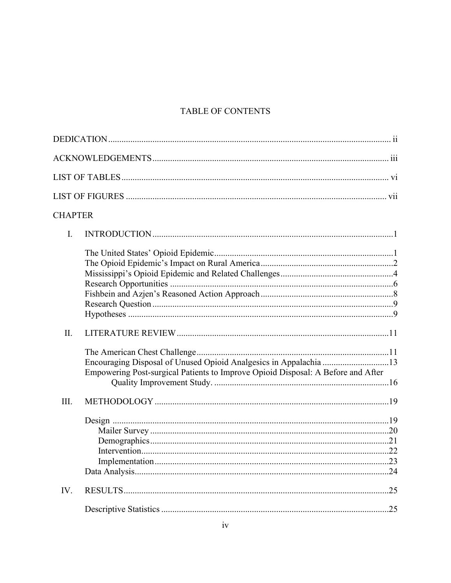# TABLE OF CONTENTS

| <b>CHAPTER</b>                                                                                                                                        |  |
|-------------------------------------------------------------------------------------------------------------------------------------------------------|--|
| I.                                                                                                                                                    |  |
|                                                                                                                                                       |  |
| II.                                                                                                                                                   |  |
| Encouraging Disposal of Unused Opioid Analgesics in Appalachia 13<br>Empowering Post-surgical Patients to Improve Opioid Disposal: A Before and After |  |
| III.                                                                                                                                                  |  |
|                                                                                                                                                       |  |
| IV.                                                                                                                                                   |  |
|                                                                                                                                                       |  |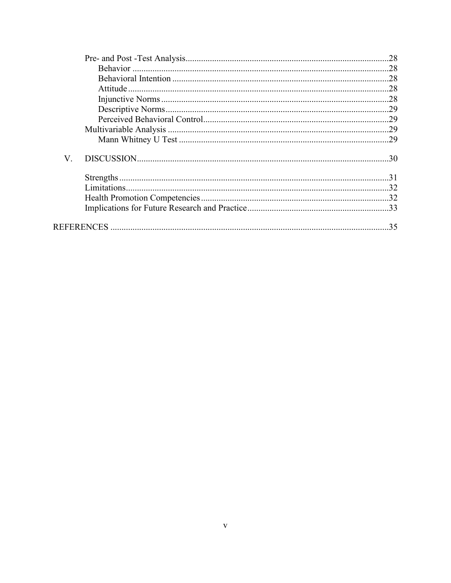| V. |  |
|----|--|
|    |  |
|    |  |
|    |  |
|    |  |
|    |  |
|    |  |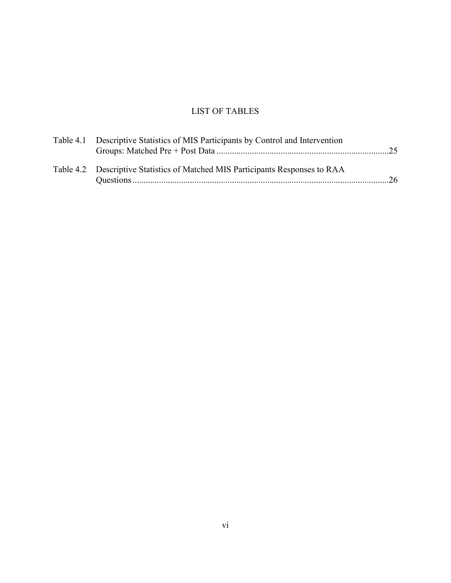# LIST OF TABLES

<span id="page-8-0"></span>

| Table 4.1 Descriptive Statistics of MIS Participants by Control and Intervention |  |  |  |
|----------------------------------------------------------------------------------|--|--|--|
|                                                                                  |  |  |  |
|                                                                                  |  |  |  |
| Table 4.2 Descriptive Statistics of Matched MIS Participants Responses to RAA    |  |  |  |
|                                                                                  |  |  |  |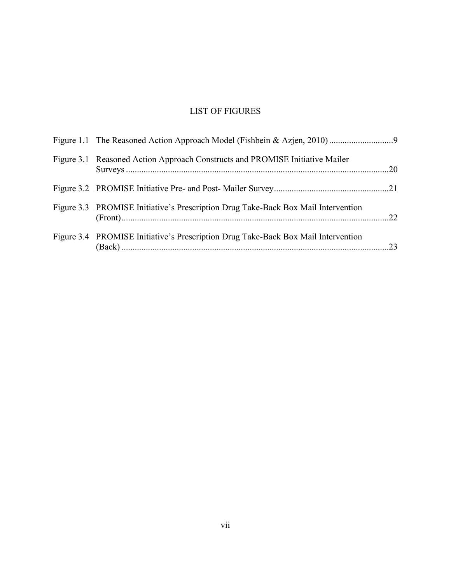# LIST OF FIGURES

<span id="page-9-0"></span>

| Figure 3.1 Reasoned Action Approach Constructs and PROMISE Initiative Mailer      |  |
|-----------------------------------------------------------------------------------|--|
|                                                                                   |  |
| Figure 3.3 PROMISE Initiative's Prescription Drug Take-Back Box Mail Intervention |  |
| Figure 3.4 PROMISE Initiative's Prescription Drug Take-Back Box Mail Intervention |  |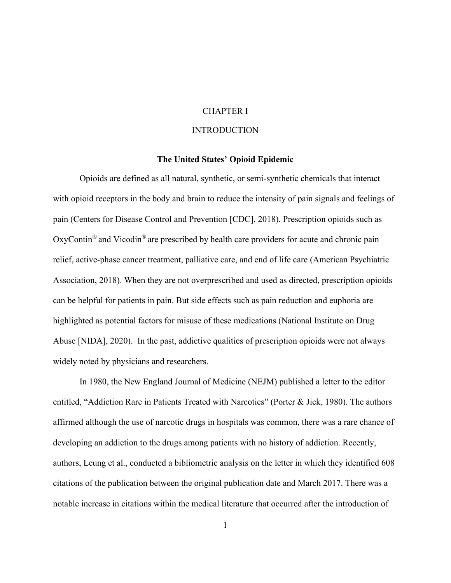#### CHAPTER I

# **INTRODUCTION**

#### **The United States' Opioid Epidemic**

<span id="page-10-2"></span><span id="page-10-1"></span><span id="page-10-0"></span>Opioids are defined as all natural, synthetic, or semi-synthetic chemicals that interact with opioid receptors in the body and brain to reduce the intensity of pain signals and feelings of pain (Centers for Disease Control and Prevention [CDC], 2018). Prescription opioids such as  $OxyContin<sup>®</sup>$  and Vicodin<sup>®</sup> are prescribed by health care providers for acute and chronic pain relief, active-phase cancer treatment, palliative care, and end of life care (American Psychiatric Association, 2018). When they are not overprescribed and used as directed, prescription opioids can be helpful for patients in pain. But side effects such as pain reduction and euphoria are highlighted as potential factors for misuse of these medications (National Institute on Drug Abuse [NIDA], 2020). In the past, addictive qualities of prescription opioids were not always widely noted by physicians and researchers.

In 1980, the New England Journal of Medicine (NEJM) published a letter to the editor entitled, "Addiction Rare in Patients Treated with Narcotics" (Porter & Jick, 1980). The authors affirmed although the use of narcotic drugs in hospitals was common, there was a rare chance of developing an addiction to the drugs among patients with no history of addiction. Recently, authors, Leung et al., conducted a bibliometric analysis on the letter in which they identified 608 citations of the publication between the original publication date and March 2017. There was a notable increase in citations within the medical literature that occurred after the introduction of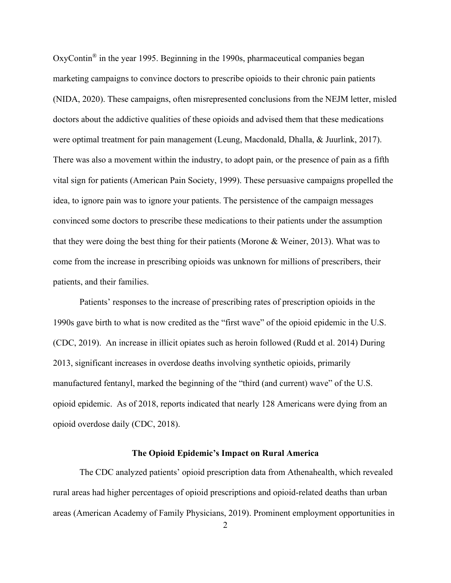OxyContin<sup>®</sup> in the year 1995. Beginning in the 1990s, pharmaceutical companies began marketing campaigns to convince doctors to prescribe opioids to their chronic pain patients (NIDA, 2020). These campaigns, often misrepresented conclusions from the NEJM letter, misled doctors about the addictive qualities of these opioids and advised them that these medications were optimal treatment for pain management (Leung, Macdonald, Dhalla, & Juurlink, 2017). There was also a movement within the industry, to adopt pain, or the presence of pain as a fifth vital sign for patients (American Pain Society, 1999). These persuasive campaigns propelled the idea, to ignore pain was to ignore your patients. The persistence of the campaign messages convinced some doctors to prescribe these medications to their patients under the assumption that they were doing the best thing for their patients (Morone & Weiner, 2013). What was to come from the increase in prescribing opioids was unknown for millions of prescribers, their patients, and their families.

Patients' responses to the increase of prescribing rates of prescription opioids in the 1990s gave birth to what is now credited as the "first wave" of the opioid epidemic in the U.S. (CDC, 2019). An increase in illicit opiates such as heroin followed (Rudd et al. 2014) During 2013, significant increases in overdose deaths involving synthetic opioids, primarily manufactured fentanyl, marked the beginning of the "third (and current) wave" of the U.S. opioid epidemic. As of 2018, reports indicated that nearly 128 Americans were dying from an opioid overdose daily (CDC, 2018).

#### **The Opioid Epidemic's Impact on Rural America**

<span id="page-11-0"></span>The CDC analyzed patients' opioid prescription data from Athenahealth, which revealed rural areas had higher percentages of opioid prescriptions and opioid-related deaths than urban areas (American Academy of Family Physicians, 2019). Prominent employment opportunities in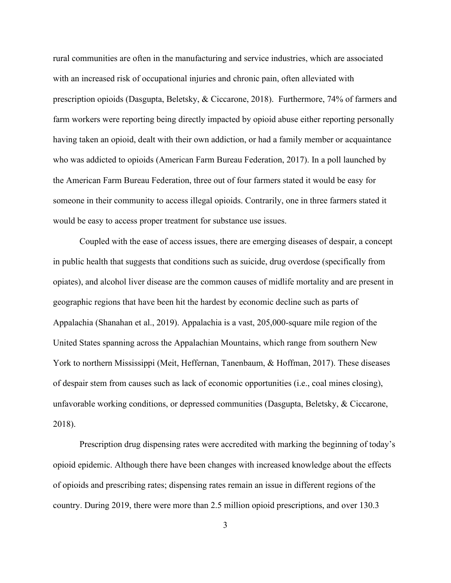rural communities are often in the manufacturing and service industries, which are associated with an increased risk of occupational injuries and chronic pain, often alleviated with prescription opioids (Dasgupta, Beletsky, & Ciccarone, 2018). Furthermore, 74% of farmers and farm workers were reporting being directly impacted by opioid abuse either reporting personally having taken an opioid, dealt with their own addiction, or had a family member or acquaintance who was addicted to opioids (American Farm Bureau Federation, 2017). In a poll launched by the American Farm Bureau Federation, three out of four farmers stated it would be easy for someone in their community to access illegal opioids. Contrarily, one in three farmers stated it would be easy to access proper treatment for substance use issues.

Coupled with the ease of access issues, there are emerging diseases of despair, a concept in public health that suggests that conditions such as suicide, drug overdose (specifically from opiates), and alcohol liver disease are the common causes of midlife mortality and are present in geographic regions that have been hit the hardest by economic decline such as parts of Appalachia (Shanahan et al., 2019). Appalachia is a vast, 205,000-square mile region of the United States spanning across the Appalachian Mountains, which range from southern New York to northern Mississippi (Meit, Heffernan, Tanenbaum, & Hoffman, 2017). These diseases of despair stem from causes such as lack of economic opportunities (i.e., coal mines closing), unfavorable working conditions, or depressed communities (Dasgupta, Beletsky, & Ciccarone, 2018).

Prescription drug dispensing rates were accredited with marking the beginning of today's opioid epidemic. Although there have been changes with increased knowledge about the effects of opioids and prescribing rates; dispensing rates remain an issue in different regions of the country. During 2019, there were more than 2.5 million opioid prescriptions, and over 130.3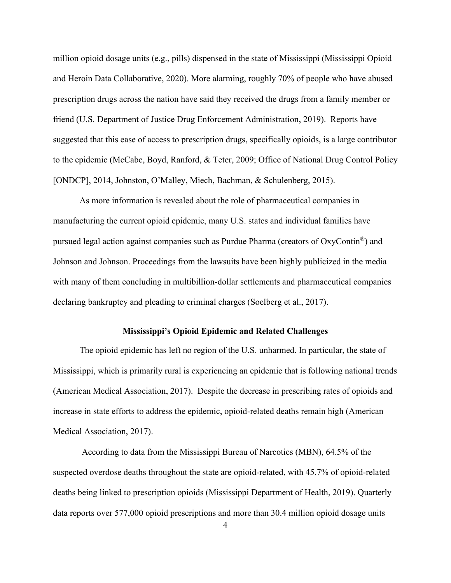million opioid dosage units (e.g., pills) dispensed in the state of Mississippi (Mississippi Opioid and Heroin Data Collaborative, 2020). More alarming, roughly 70% of people who have abused prescription drugs across the nation have said they received the drugs from a family member or friend (U.S. Department of Justice Drug Enforcement Administration, 2019). Reports have suggested that this ease of access to prescription drugs, specifically opioids, is a large contributor to the epidemic (McCabe, Boyd, Ranford, & Teter, 2009; Office of National Drug Control Policy [ONDCP], 2014, Johnston, O'Malley, Miech, Bachman, & Schulenberg, 2015).

As more information is revealed about the role of pharmaceutical companies in manufacturing the current opioid epidemic, many U.S. states and individual families have pursued legal action against companies such as Purdue Pharma (creators of OxyContin®) and Johnson and Johnson. Proceedings from the lawsuits have been highly publicized in the media with many of them concluding in multibillion-dollar settlements and pharmaceutical companies declaring bankruptcy and pleading to criminal charges (Soelberg et al., 2017).

#### **Mississippi's Opioid Epidemic and Related Challenges**

<span id="page-13-0"></span>The opioid epidemic has left no region of the U.S. unharmed. In particular, the state of Mississippi, which is primarily rural is experiencing an epidemic that is following national trends (American Medical Association, 2017). Despite the decrease in prescribing rates of opioids and increase in state efforts to address the epidemic, opioid-related deaths remain high (American Medical Association, 2017).

According to data from the Mississippi Bureau of Narcotics (MBN), 64.5% of the suspected overdose deaths throughout the state are opioid-related, with 45.7% of opioid-related deaths being linked to prescription opioids (Mississippi Department of Health, 2019). Quarterly data reports over 577,000 opioid prescriptions and more than 30.4 million opioid dosage units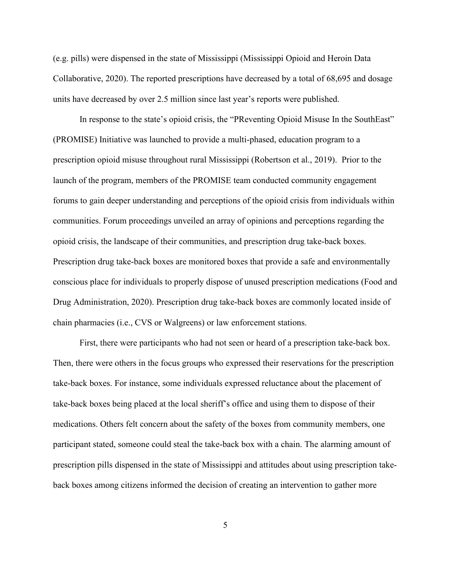(e.g. pills) were dispensed in the state of Mississippi (Mississippi Opioid and Heroin Data Collaborative, 2020). The reported prescriptions have decreased by a total of 68,695 and dosage units have decreased by over 2.5 million since last year's reports were published.

In response to the state's opioid crisis, the "PReventing Opioid Misuse In the SouthEast" (PROMISE) Initiative was launched to provide a multi-phased, education program to a prescription opioid misuse throughout rural Mississippi (Robertson et al., 2019). Prior to the launch of the program, members of the PROMISE team conducted community engagement forums to gain deeper understanding and perceptions of the opioid crisis from individuals within communities. Forum proceedings unveiled an array of opinions and perceptions regarding the opioid crisis, the landscape of their communities, and prescription drug take-back boxes. Prescription drug take-back boxes are monitored boxes that provide a safe and environmentally conscious place for individuals to properly dispose of unused prescription medications (Food and Drug Administration, 2020). Prescription drug take-back boxes are commonly located inside of chain pharmacies (i.e., CVS or Walgreens) or law enforcement stations.

First, there were participants who had not seen or heard of a prescription take-back box. Then, there were others in the focus groups who expressed their reservations for the prescription take-back boxes. For instance, some individuals expressed reluctance about the placement of take-back boxes being placed at the local sheriff's office and using them to dispose of their medications. Others felt concern about the safety of the boxes from community members, one participant stated, someone could steal the take-back box with a chain. The alarming amount of prescription pills dispensed in the state of Mississippi and attitudes about using prescription takeback boxes among citizens informed the decision of creating an intervention to gather more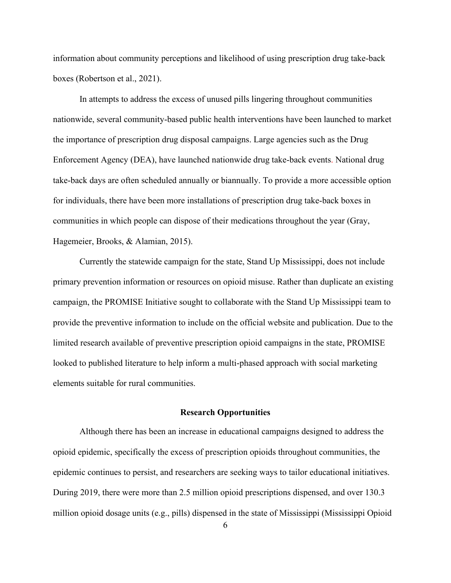information about community perceptions and likelihood of using prescription drug take-back boxes (Robertson et al., 2021).

In attempts to address the excess of unused pills lingering throughout communities nationwide, several community-based public health interventions have been launched to market the importance of prescription drug disposal campaigns. Large agencies such as the Drug Enforcement Agency (DEA), have launched nationwide drug take-back events. National drug take-back days are often scheduled annually or biannually. To provide a more accessible option for individuals, there have been more installations of prescription drug take-back boxes in communities in which people can dispose of their medications throughout the year (Gray, Hagemeier, Brooks, & Alamian, 2015).

Currently the statewide campaign for the state, Stand Up Mississippi, does not include primary prevention information or resources on opioid misuse. Rather than duplicate an existing campaign, the PROMISE Initiative sought to collaborate with the Stand Up Mississippi team to provide the preventive information to include on the official website and publication. Due to the limited research available of preventive prescription opioid campaigns in the state, PROMISE looked to published literature to help inform a multi-phased approach with social marketing elements suitable for rural communities.

# **Research Opportunities**

<span id="page-15-0"></span>Although there has been an increase in educational campaigns designed to address the opioid epidemic, specifically the excess of prescription opioids throughout communities, the epidemic continues to persist, and researchers are seeking ways to tailor educational initiatives. During 2019, there were more than 2.5 million opioid prescriptions dispensed, and over 130.3 million opioid dosage units (e.g., pills) dispensed in the state of Mississippi (Mississippi Opioid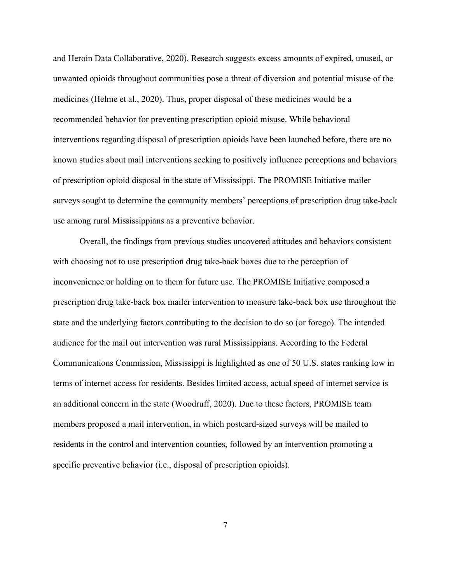and Heroin Data Collaborative, 2020). Research suggests excess amounts of expired, unused, or unwanted opioids throughout communities pose a threat of diversion and potential misuse of the medicines (Helme et al., 2020). Thus, proper disposal of these medicines would be a recommended behavior for preventing prescription opioid misuse. While behavioral interventions regarding disposal of prescription opioids have been launched before, there are no known studies about mail interventions seeking to positively influence perceptions and behaviors of prescription opioid disposal in the state of Mississippi. The PROMISE Initiative mailer surveys sought to determine the community members' perceptions of prescription drug take-back use among rural Mississippians as a preventive behavior.

Overall, the findings from previous studies uncovered attitudes and behaviors consistent with choosing not to use prescription drug take-back boxes due to the perception of inconvenience or holding on to them for future use. The PROMISE Initiative composed a prescription drug take-back box mailer intervention to measure take-back box use throughout the state and the underlying factors contributing to the decision to do so (or forego). The intended audience for the mail out intervention was rural Mississippians. According to the Federal Communications Commission, Mississippi is highlighted as one of 50 U.S. states ranking low in terms of internet access for residents. Besides limited access, actual speed of internet service is an additional concern in the state (Woodruff, 2020). Due to these factors, PROMISE team members proposed a mail intervention, in which postcard-sized surveys will be mailed to residents in the control and intervention counties, followed by an intervention promoting a specific preventive behavior (i.e., disposal of prescription opioids).

7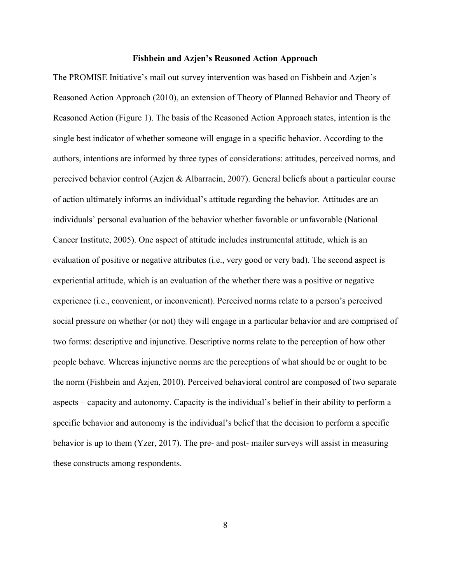#### **Fishbein and Azjen's Reasoned Action Approach**

<span id="page-17-0"></span>The PROMISE Initiative's mail out survey intervention was based on Fishbein and Azjen's Reasoned Action Approach (2010), an extension of Theory of Planned Behavior and Theory of Reasoned Action (Figure 1). The basis of the Reasoned Action Approach states, intention is the single best indicator of whether someone will engage in a specific behavior. According to the authors, intentions are informed by three types of considerations: attitudes, perceived norms, and perceived behavior control (Azjen & Albarracín, 2007). General beliefs about a particular course of action ultimately informs an individual's attitude regarding the behavior. Attitudes are an individuals' personal evaluation of the behavior whether favorable or unfavorable (National Cancer Institute, 2005). One aspect of attitude includes instrumental attitude, which is an evaluation of positive or negative attributes (i.e., very good or very bad). The second aspect is experiential attitude, which is an evaluation of the whether there was a positive or negative experience (i.e., convenient, or inconvenient). Perceived norms relate to a person's perceived social pressure on whether (or not) they will engage in a particular behavior and are comprised of two forms: descriptive and injunctive. Descriptive norms relate to the perception of how other people behave. Whereas injunctive norms are the perceptions of what should be or ought to be the norm (Fishbein and Azjen, 2010). Perceived behavioral control are composed of two separate aspects – capacity and autonomy. Capacity is the individual's belief in their ability to perform a specific behavior and autonomy is the individual's belief that the decision to perform a specific behavior is up to them  $(Yzer, 2017)$ . The pre- and post-mailer surveys will assist in measuring these constructs among respondents.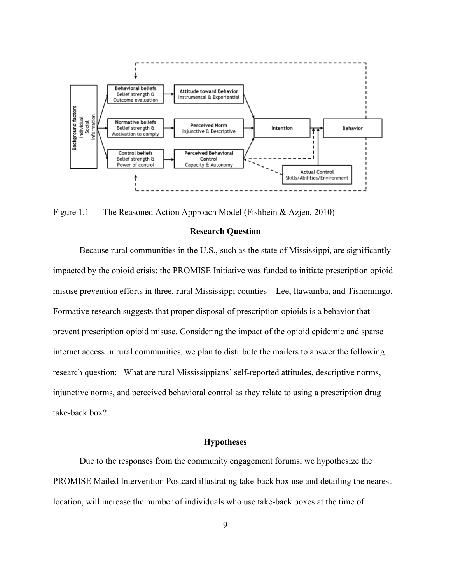

<span id="page-18-2"></span><span id="page-18-0"></span>Figure 1.1 The Reasoned Action Approach Model (Fishbein & Azjen, 2010)

#### **Research Question**

Because rural communities in the U.S., such as the state of Mississippi, are significantly impacted by the opioid crisis; the PROMISE Initiative was funded to initiate prescription opioid misuse prevention efforts in three, rural Mississippi counties – Lee, Itawamba, and Tishomingo. Formative research suggests that proper disposal of prescription opioids is a behavior that prevent prescription opioid misuse. Considering the impact of the opioid epidemic and sparse internet access in rural communities, we plan to distribute the mailers to answer the following research question: What are rural Mississippians' self-reported attitudes, descriptive norms, injunctive norms, and perceived behavioral control as they relate to using a prescription drug take-back box?

#### **Hypotheses**

<span id="page-18-1"></span>Due to the responses from the community engagement forums, we hypothesize the PROMISE Mailed Intervention Postcard illustrating take-back box use and detailing the nearest location, will increase the number of individuals who use take-back boxes at the time of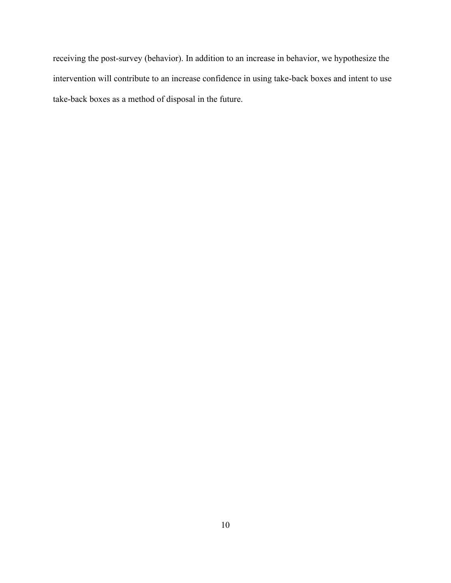receiving the post-survey (behavior). In addition to an increase in behavior, we hypothesize the intervention will contribute to an increase confidence in using take-back boxes and intent to use take-back boxes as a method of disposal in the future.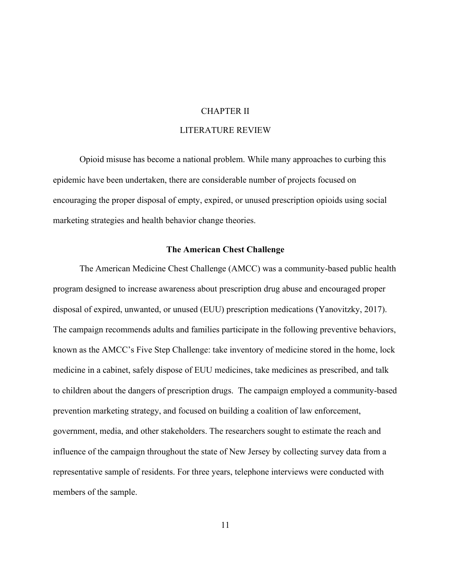#### CHAPTER II

# LITERATURE REVIEW

<span id="page-20-0"></span>Opioid misuse has become a national problem. While many approaches to curbing this epidemic have been undertaken, there are considerable number of projects focused on encouraging the proper disposal of empty, expired, or unused prescription opioids using social marketing strategies and health behavior change theories.

#### **The American Chest Challenge**

<span id="page-20-1"></span>The American Medicine Chest Challenge (AMCC) was a community-based public health program designed to increase awareness about prescription drug abuse and encouraged proper disposal of expired, unwanted, or unused (EUU) prescription medications (Yanovitzky, 2017). The campaign recommends adults and families participate in the following preventive behaviors, known as the AMCC's Five Step Challenge: take inventory of medicine stored in the home, lock medicine in a cabinet, safely dispose of EUU medicines, take medicines as prescribed, and talk to children about the dangers of prescription drugs. The campaign employed a community-based prevention marketing strategy, and focused on building a coalition of law enforcement, government, media, and other stakeholders. The researchers sought to estimate the reach and influence of the campaign throughout the state of New Jersey by collecting survey data from a representative sample of residents. For three years, telephone interviews were conducted with members of the sample.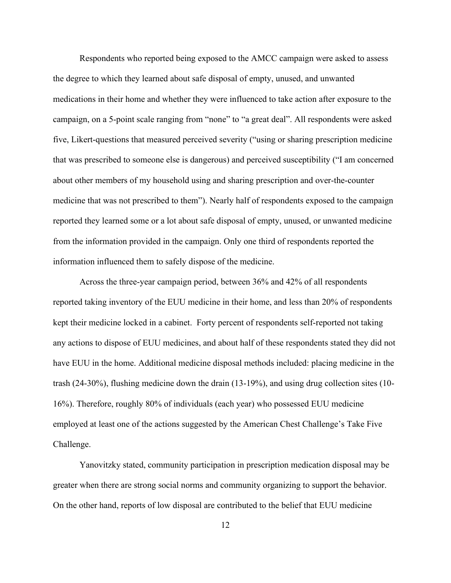Respondents who reported being exposed to the AMCC campaign were asked to assess the degree to which they learned about safe disposal of empty, unused, and unwanted medications in their home and whether they were influenced to take action after exposure to the campaign, on a 5-point scale ranging from "none" to "a great deal". All respondents were asked five, Likert-questions that measured perceived severity ("using or sharing prescription medicine that was prescribed to someone else is dangerous) and perceived susceptibility ("I am concerned about other members of my household using and sharing prescription and over-the-counter medicine that was not prescribed to them"). Nearly half of respondents exposed to the campaign reported they learned some or a lot about safe disposal of empty, unused, or unwanted medicine from the information provided in the campaign. Only one third of respondents reported the information influenced them to safely dispose of the medicine.

Across the three-year campaign period, between 36% and 42% of all respondents reported taking inventory of the EUU medicine in their home, and less than 20% of respondents kept their medicine locked in a cabinet. Forty percent of respondents self-reported not taking any actions to dispose of EUU medicines, and about half of these respondents stated they did not have EUU in the home. Additional medicine disposal methods included: placing medicine in the trash (24-30%), flushing medicine down the drain (13-19%), and using drug collection sites (10- 16%). Therefore, roughly 80% of individuals (each year) who possessed EUU medicine employed at least one of the actions suggested by the American Chest Challenge's Take Five Challenge.

Yanovitzky stated, community participation in prescription medication disposal may be greater when there are strong social norms and community organizing to support the behavior. On the other hand, reports of low disposal are contributed to the belief that EUU medicine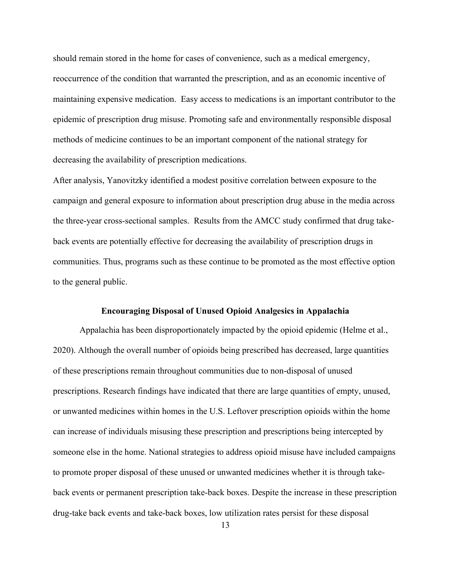should remain stored in the home for cases of convenience, such as a medical emergency, reoccurrence of the condition that warranted the prescription, and as an economic incentive of maintaining expensive medication. Easy access to medications is an important contributor to the epidemic of prescription drug misuse. Promoting safe and environmentally responsible disposal methods of medicine continues to be an important component of the national strategy for decreasing the availability of prescription medications.

After analysis, Yanovitzky identified a modest positive correlation between exposure to the campaign and general exposure to information about prescription drug abuse in the media across the three-year cross-sectional samples. Results from the AMCC study confirmed that drug takeback events are potentially effective for decreasing the availability of prescription drugs in communities. Thus, programs such as these continue to be promoted as the most effective option to the general public.

#### **Encouraging Disposal of Unused Opioid Analgesics in Appalachia**

<span id="page-22-0"></span>Appalachia has been disproportionately impacted by the opioid epidemic (Helme et al., 2020). Although the overall number of opioids being prescribed has decreased, large quantities of these prescriptions remain throughout communities due to non-disposal of unused prescriptions. Research findings have indicated that there are large quantities of empty, unused, or unwanted medicines within homes in the U.S. Leftover prescription opioids within the home can increase of individuals misusing these prescription and prescriptions being intercepted by someone else in the home. National strategies to address opioid misuse have included campaigns to promote proper disposal of these unused or unwanted medicines whether it is through takeback events or permanent prescription take-back boxes. Despite the increase in these prescription drug-take back events and take-back boxes, low utilization rates persist for these disposal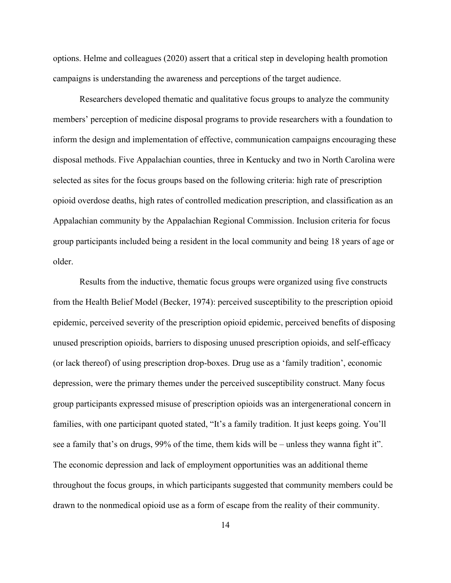options. Helme and colleagues (2020) assert that a critical step in developing health promotion campaigns is understanding the awareness and perceptions of the target audience.

Researchers developed thematic and qualitative focus groups to analyze the community members' perception of medicine disposal programs to provide researchers with a foundation to inform the design and implementation of effective, communication campaigns encouraging these disposal methods. Five Appalachian counties, three in Kentucky and two in North Carolina were selected as sites for the focus groups based on the following criteria: high rate of prescription opioid overdose deaths, high rates of controlled medication prescription, and classification as an Appalachian community by the Appalachian Regional Commission. Inclusion criteria for focus group participants included being a resident in the local community and being 18 years of age or older.

Results from the inductive, thematic focus groups were organized using five constructs from the Health Belief Model (Becker, 1974): perceived susceptibility to the prescription opioid epidemic, perceived severity of the prescription opioid epidemic, perceived benefits of disposing unused prescription opioids, barriers to disposing unused prescription opioids, and self-efficacy (or lack thereof) of using prescription drop-boxes. Drug use as a 'family tradition', economic depression, were the primary themes under the perceived susceptibility construct. Many focus group participants expressed misuse of prescription opioids was an intergenerational concern in families, with one participant quoted stated, "It's a family tradition. It just keeps going. You'll see a family that's on drugs, 99% of the time, them kids will be – unless they wanna fight it". The economic depression and lack of employment opportunities was an additional theme throughout the focus groups, in which participants suggested that community members could be drawn to the nonmedical opioid use as a form of escape from the reality of their community.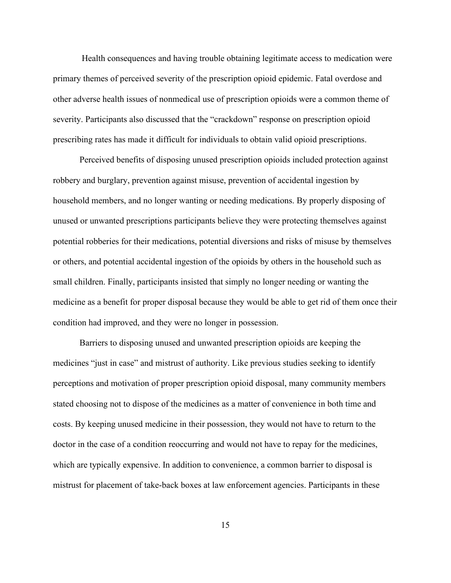Health consequences and having trouble obtaining legitimate access to medication were primary themes of perceived severity of the prescription opioid epidemic. Fatal overdose and other adverse health issues of nonmedical use of prescription opioids were a common theme of severity. Participants also discussed that the "crackdown" response on prescription opioid prescribing rates has made it difficult for individuals to obtain valid opioid prescriptions.

Perceived benefits of disposing unused prescription opioids included protection against robbery and burglary, prevention against misuse, prevention of accidental ingestion by household members, and no longer wanting or needing medications. By properly disposing of unused or unwanted prescriptions participants believe they were protecting themselves against potential robberies for their medications, potential diversions and risks of misuse by themselves or others, and potential accidental ingestion of the opioids by others in the household such as small children. Finally, participants insisted that simply no longer needing or wanting the medicine as a benefit for proper disposal because they would be able to get rid of them once their condition had improved, and they were no longer in possession.

Barriers to disposing unused and unwanted prescription opioids are keeping the medicines "just in case" and mistrust of authority. Like previous studies seeking to identify perceptions and motivation of proper prescription opioid disposal, many community members stated choosing not to dispose of the medicines as a matter of convenience in both time and costs. By keeping unused medicine in their possession, they would not have to return to the doctor in the case of a condition reoccurring and would not have to repay for the medicines, which are typically expensive. In addition to convenience, a common barrier to disposal is mistrust for placement of take-back boxes at law enforcement agencies. Participants in these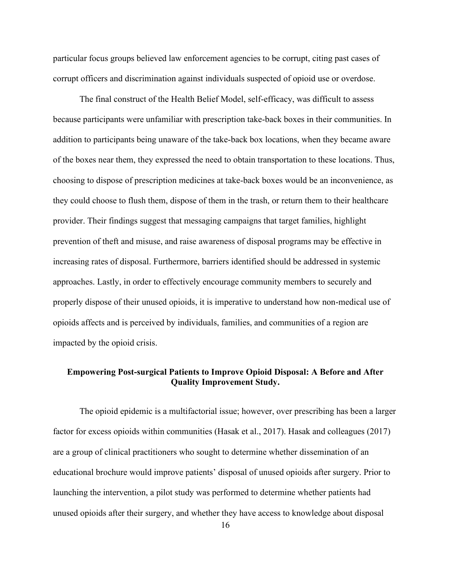particular focus groups believed law enforcement agencies to be corrupt, citing past cases of corrupt officers and discrimination against individuals suspected of opioid use or overdose.

The final construct of the Health Belief Model, self-efficacy, was difficult to assess because participants were unfamiliar with prescription take-back boxes in their communities. In addition to participants being unaware of the take-back box locations, when they became aware of the boxes near them, they expressed the need to obtain transportation to these locations. Thus, choosing to dispose of prescription medicines at take-back boxes would be an inconvenience, as they could choose to flush them, dispose of them in the trash, or return them to their healthcare provider. Their findings suggest that messaging campaigns that target families, highlight prevention of theft and misuse, and raise awareness of disposal programs may be effective in increasing rates of disposal. Furthermore, barriers identified should be addressed in systemic approaches. Lastly, in order to effectively encourage community members to securely and properly dispose of their unused opioids, it is imperative to understand how non-medical use of opioids affects and is perceived by individuals, families, and communities of a region are impacted by the opioid crisis.

# <span id="page-25-0"></span>**Empowering Post-surgical Patients to Improve Opioid Disposal: A Before and After Quality Improvement Study.**

The opioid epidemic is a multifactorial issue; however, over prescribing has been a larger factor for excess opioids within communities (Hasak et al., 2017). Hasak and colleagues (2017) are a group of clinical practitioners who sought to determine whether dissemination of an educational brochure would improve patients' disposal of unused opioids after surgery. Prior to launching the intervention, a pilot study was performed to determine whether patients had unused opioids after their surgery, and whether they have access to knowledge about disposal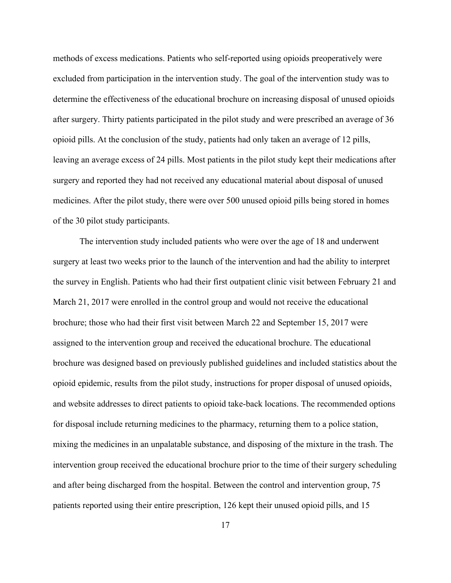methods of excess medications. Patients who self-reported using opioids preoperatively were excluded from participation in the intervention study. The goal of the intervention study was to determine the effectiveness of the educational brochure on increasing disposal of unused opioids after surgery. Thirty patients participated in the pilot study and were prescribed an average of 36 opioid pills. At the conclusion of the study, patients had only taken an average of 12 pills, leaving an average excess of 24 pills. Most patients in the pilot study kept their medications after surgery and reported they had not received any educational material about disposal of unused medicines. After the pilot study, there were over 500 unused opioid pills being stored in homes of the 30 pilot study participants.

The intervention study included patients who were over the age of 18 and underwent surgery at least two weeks prior to the launch of the intervention and had the ability to interpret the survey in English. Patients who had their first outpatient clinic visit between February 21 and March 21, 2017 were enrolled in the control group and would not receive the educational brochure; those who had their first visit between March 22 and September 15, 2017 were assigned to the intervention group and received the educational brochure. The educational brochure was designed based on previously published guidelines and included statistics about the opioid epidemic, results from the pilot study, instructions for proper disposal of unused opioids, and website addresses to direct patients to opioid take-back locations. The recommended options for disposal include returning medicines to the pharmacy, returning them to a police station, mixing the medicines in an unpalatable substance, and disposing of the mixture in the trash. The intervention group received the educational brochure prior to the time of their surgery scheduling and after being discharged from the hospital. Between the control and intervention group, 75 patients reported using their entire prescription, 126 kept their unused opioid pills, and 15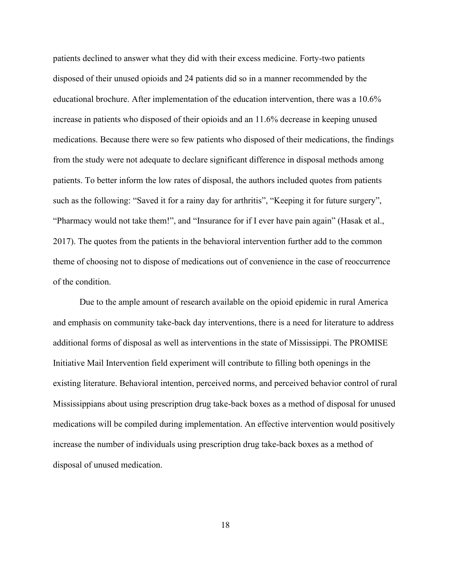patients declined to answer what they did with their excess medicine. Forty-two patients disposed of their unused opioids and 24 patients did so in a manner recommended by the educational brochure. After implementation of the education intervention, there was a 10.6% increase in patients who disposed of their opioids and an 11.6% decrease in keeping unused medications. Because there were so few patients who disposed of their medications, the findings from the study were not adequate to declare significant difference in disposal methods among patients. To better inform the low rates of disposal, the authors included quotes from patients such as the following: "Saved it for a rainy day for arthritis", "Keeping it for future surgery", "Pharmacy would not take them!", and "Insurance for if I ever have pain again" (Hasak et al., 2017). The quotes from the patients in the behavioral intervention further add to the common theme of choosing not to dispose of medications out of convenience in the case of reoccurrence of the condition.

Due to the ample amount of research available on the opioid epidemic in rural America and emphasis on community take-back day interventions, there is a need for literature to address additional forms of disposal as well as interventions in the state of Mississippi. The PROMISE Initiative Mail Intervention field experiment will contribute to filling both openings in the existing literature. Behavioral intention, perceived norms, and perceived behavior control of rural Mississippians about using prescription drug take-back boxes as a method of disposal for unused medications will be compiled during implementation. An effective intervention would positively increase the number of individuals using prescription drug take-back boxes as a method of disposal of unused medication.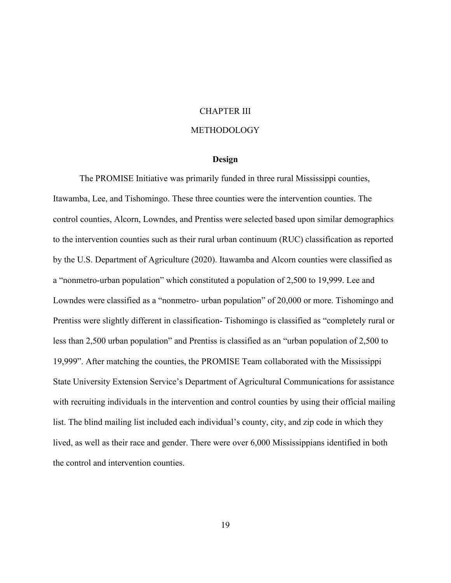#### CHAPTER III

# METHODOLOGY

#### **Design**

<span id="page-28-1"></span><span id="page-28-0"></span>The PROMISE Initiative was primarily funded in three rural Mississippi counties, Itawamba, Lee, and Tishomingo. These three counties were the intervention counties. The control counties, Alcorn, Lowndes, and Prentiss were selected based upon similar demographics to the intervention counties such as their rural urban continuum (RUC) classification as reported by the U.S. Department of Agriculture (2020). Itawamba and Alcorn counties were classified as a "nonmetro-urban population" which constituted a population of 2,500 to 19,999. Lee and Lowndes were classified as a "nonmetro- urban population" of 20,000 or more. Tishomingo and Prentiss were slightly different in classification- Tishomingo is classified as "completely rural or less than 2,500 urban population" and Prentiss is classified as an "urban population of 2,500 to 19,999". After matching the counties, the PROMISE Team collaborated with the Mississippi State University Extension Service's Department of Agricultural Communications for assistance with recruiting individuals in the intervention and control counties by using their official mailing list. The blind mailing list included each individual's county, city, and zip code in which they lived, as well as their race and gender. There were over 6,000 Mississippians identified in both the control and intervention counties.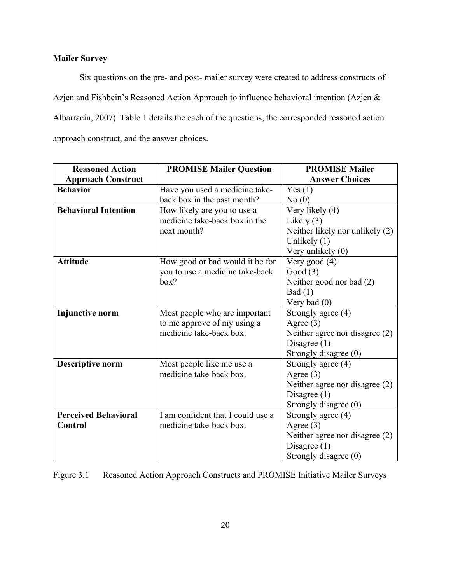# <span id="page-29-0"></span>**Mailer Survey**

Six questions on the pre- and post- mailer survey were created to address constructs of Azjen and Fishbein's Reasoned Action Approach to influence behavioral intention (Azjen & Albarracín, 2007). Table 1 details the each of the questions, the corresponded reasoned action approach construct, and the answer choices.

| <b>Reasoned Action</b>      | <b>PROMISE Mailer Question</b>    | <b>PROMISE Mailer</b>            |  |  |
|-----------------------------|-----------------------------------|----------------------------------|--|--|
| <b>Approach Construct</b>   |                                   | <b>Answer Choices</b>            |  |  |
| <b>Behavior</b>             | Have you used a medicine take-    | Yes(1)                           |  |  |
|                             | back box in the past month?       | No(0)                            |  |  |
| <b>Behavioral Intention</b> | How likely are you to use a       | Very likely (4)                  |  |  |
|                             | medicine take-back box in the     | Likely $(3)$                     |  |  |
|                             | next month?                       | Neither likely nor unlikely (2)  |  |  |
|                             |                                   | Unlikely $(1)$                   |  |  |
|                             |                                   | Very unlikely (0)                |  |  |
| <b>Attitude</b>             | How good or bad would it be for   | Very good (4)                    |  |  |
|                             | you to use a medicine take-back   | Good $(3)$                       |  |  |
|                             | box?                              | Neither good nor bad (2)         |  |  |
|                             |                                   | Bad (1)                          |  |  |
|                             |                                   | Very bad $(0)$                   |  |  |
| <b>Injunctive norm</b>      | Most people who are important     | Strongly agree (4)               |  |  |
|                             | to me approve of my using a       | Agree $(3)$                      |  |  |
|                             | medicine take-back box.           | Neither agree nor disagree $(2)$ |  |  |
|                             |                                   | Disagree $(1)$                   |  |  |
|                             |                                   | Strongly disagree (0)            |  |  |
| <b>Descriptive norm</b>     | Most people like me use a         | Strongly agree (4)               |  |  |
|                             | medicine take-back box.           | Agree $(3)$                      |  |  |
|                             |                                   | Neither agree nor disagree (2)   |  |  |
|                             |                                   | Disagree $(1)$                   |  |  |
|                             |                                   | Strongly disagree (0)            |  |  |
| <b>Perceived Behavioral</b> | I am confident that I could use a | Strongly agree (4)               |  |  |
| <b>Control</b>              | medicine take-back box.           | Agree $(3)$                      |  |  |
|                             |                                   | Neither agree nor disagree $(2)$ |  |  |
|                             |                                   | Disagree $(1)$                   |  |  |
|                             |                                   | Strongly disagree (0)            |  |  |

<span id="page-29-1"></span>Figure 3.1 Reasoned Action Approach Constructs and PROMISE Initiative Mailer Surveys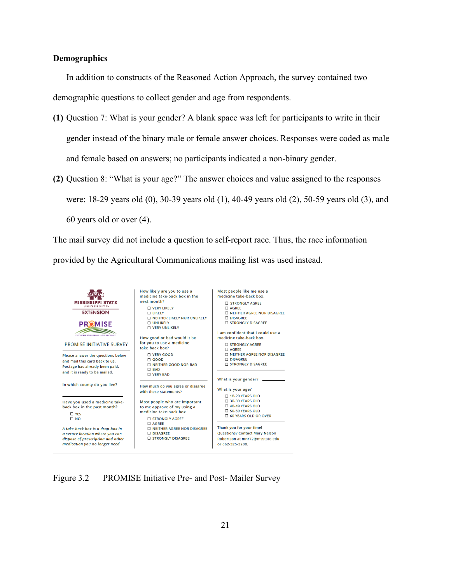#### <span id="page-30-0"></span>**Demographics**

In addition to constructs of the Reasoned Action Approach, the survey contained two demographic questions to collect gender and age from respondents.

- **(1)** Question 7: What is your gender? A blank space was left for participants to write in their gender instead of the binary male or female answer choices. Responses were coded as male and female based on answers; no participants indicated a non-binary gender.
- **(2)** Question 8: "What is your age?" The answer choices and value assigned to the responses were: 18-29 years old (0), 30-39 years old (1), 40-49 years old (2), 50-59 years old (3), and 60 years old or over (4).

The mail survey did not include a question to self-report race. Thus, the race information provided by the Agricultural Communications mailing list was used instead.



<span id="page-30-1"></span>Figure 3.2 PROMISE Initiative Pre- and Post- Mailer Survey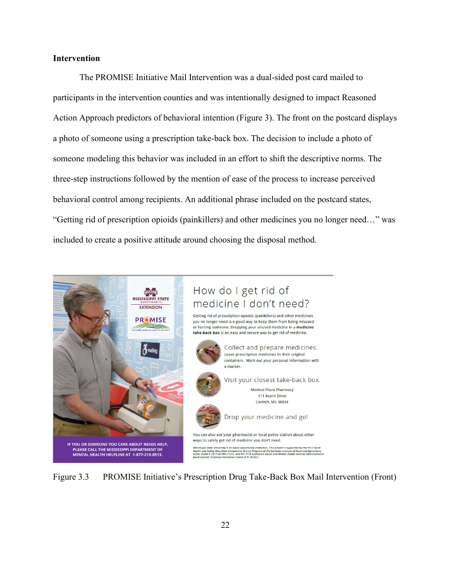# <span id="page-31-0"></span>**Intervention**

The PROMISE Initiative Mail Intervention was a dual-sided post card mailed to participants in the intervention counties and was intentionally designed to impact Reasoned Action Approach predictors of behavioral intention (Figure 3). The front on the postcard displays a photo of someone using a prescription take-back box. The decision to include a photo of someone modeling this behavior was included in an effort to shift the descriptive norms. The three-step instructions followed by the mention of ease of the process to increase perceived behavioral control among recipients. An additional phrase included on the postcard states, "Getting rid of prescription opioids (painkillers) and other medicines you no longer need…" was included to create a positive attitude around choosing the disposal method.

<span id="page-31-1"></span>

Figure 3.3 PROMISE Initiative's Prescription Drug Take-Back Box Mail Intervention (Front)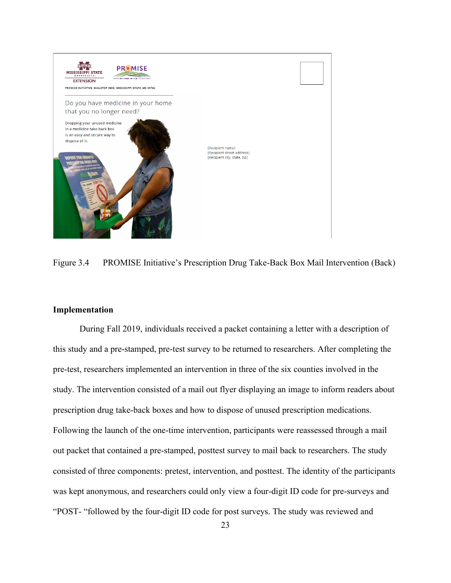

Figure 3.4 PROMISE Initiative's Prescription Drug Take-Back Box Mail Intervention (Back)

#### <span id="page-32-1"></span><span id="page-32-0"></span>**Implementation**

During Fall 2019, individuals received a packet containing a letter with a description of this study and a pre-stamped, pre-test survey to be returned to researchers. After completing the pre-test, researchers implemented an intervention in three of the six counties involved in the study. The intervention consisted of a mail out flyer displaying an image to inform readers about prescription drug take-back boxes and how to dispose of unused prescription medications. Following the launch of the one-time intervention, participants were reassessed through a mail out packet that contained a pre-stamped, posttest survey to mail back to researchers. The study consisted of three components: pretest, intervention, and posttest. The identity of the participants was kept anonymous, and researchers could only view a four-digit ID code for pre-surveys and "POST- "followed by the four-digit ID code for post surveys. The study was reviewed and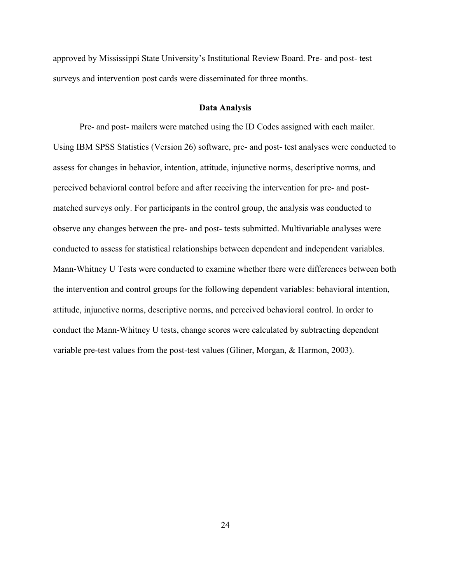approved by Mississippi State University's Institutional Review Board. Pre- and post- test surveys and intervention post cards were disseminated for three months.

#### **Data Analysis**

<span id="page-33-0"></span>Pre- and post- mailers were matched using the ID Codes assigned with each mailer. Using IBM SPSS Statistics (Version 26) software, pre- and post- test analyses were conducted to assess for changes in behavior, intention, attitude, injunctive norms, descriptive norms, and perceived behavioral control before and after receiving the intervention for pre- and postmatched surveys only. For participants in the control group, the analysis was conducted to observe any changes between the pre- and post- tests submitted. Multivariable analyses were conducted to assess for statistical relationships between dependent and independent variables. Mann-Whitney U Tests were conducted to examine whether there were differences between both the intervention and control groups for the following dependent variables: behavioral intention, attitude, injunctive norms, descriptive norms, and perceived behavioral control. In order to conduct the Mann-Whitney U tests, change scores were calculated by subtracting dependent variable pre-test values from the post-test values (Gliner, Morgan, & Harmon, 2003).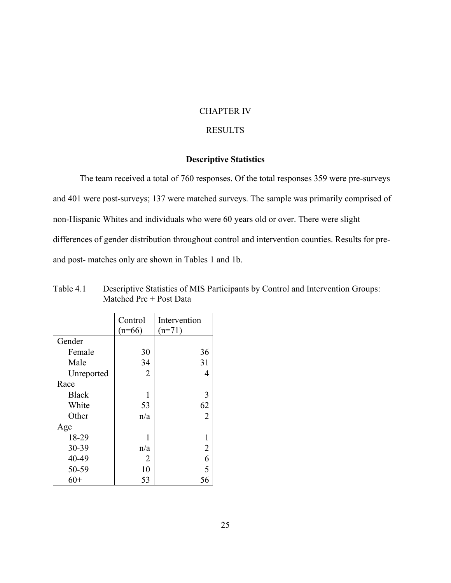### CHAPTER IV

# RESULTS

# **Descriptive Statistics**

<span id="page-34-1"></span><span id="page-34-0"></span>The team received a total of 760 responses. Of the total responses 359 were pre-surveys and 401 were post-surveys; 137 were matched surveys. The sample was primarily comprised of non-Hispanic Whites and individuals who were 60 years old or over. There were slight differences of gender distribution throughout control and intervention counties. Results for preand post- matches only are shown in Tables 1 and 1b.

|              | Control<br>$(n=66)$ | Intervention<br>$(n=71)$ |
|--------------|---------------------|--------------------------|
| Gender       |                     |                          |
| Female       | 30                  | 36                       |
| Male         | 34                  | 31                       |
| Unreported   | $\overline{2}$      | 4                        |
| Race         |                     |                          |
| <b>Black</b> | 1                   | 3                        |
| White        | 53                  | 62                       |
| Other        | n/a                 | $\overline{2}$           |
| Age          |                     |                          |
| 18-29        | 1                   | 1                        |
| 30-39        | n/a                 | $\overline{2}$           |
| 40-49        | 2                   | 6                        |
| 50-59        | 10                  | $\overline{5}$           |
| 60+          | 53                  | 56                       |

<span id="page-34-2"></span>Table 4.1 Descriptive Statistics of MIS Participants by Control and Intervention Groups: Matched Pre + Post Data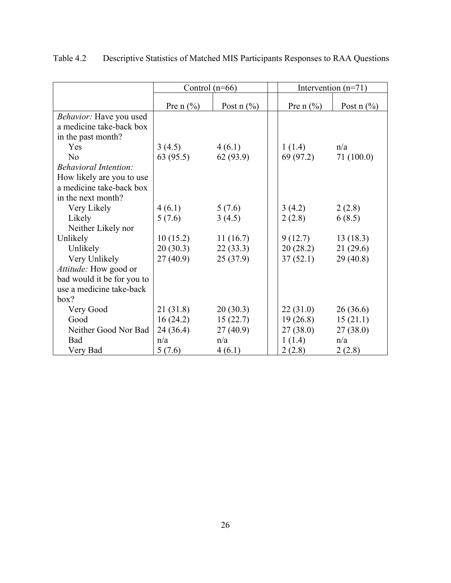|                              | Control $(n=66)$ |                 | Intervention $(n=71)$ |              |  |
|------------------------------|------------------|-----------------|-----------------------|--------------|--|
|                              | Pre n $(\% )$    | Post $n$ $(\%)$ | Pre n $(\% )$         | Post $n$ (%) |  |
| Behavior: Have you used      |                  |                 |                       |              |  |
| a medicine take-back box     |                  |                 |                       |              |  |
| in the past month?           |                  |                 |                       |              |  |
| <b>Yes</b>                   | 3(4.5)           | 4(6.1)          | 1(1.4)                | n/a          |  |
| N <sub>o</sub>               | 63(95.5)         | 62 (93.9)       | 69 (97.2)             | 71(100.0)    |  |
| <b>Behavioral Intention:</b> |                  |                 |                       |              |  |
| How likely are you to use    |                  |                 |                       |              |  |
| a medicine take-back box     |                  |                 |                       |              |  |
| in the next month?           |                  |                 |                       |              |  |
| Very Likely                  | 4(6.1)           | 5(7.6)          | 3(4.2)                | 2(2.8)       |  |
| Likely                       | 5(7.6)           | 3(4.5)          | 2(2.8)                | 6(8.5)       |  |
| Neither Likely nor           |                  |                 |                       |              |  |
| Unlikely                     | 10(15.2)         | 11(16.7)        | 9(12.7)               | 13(18.3)     |  |
| Unlikely                     | 20(30.3)         | 22(33.3)        | 20(28.2)              | 21(29.6)     |  |
| Very Unlikely                | 27(40.9)         | 25(37.9)        | 37(52.1)              | 29(40.8)     |  |
| Attitude: How good or        |                  |                 |                       |              |  |
| bad would it be for you to   |                  |                 |                       |              |  |
| use a medicine take-back     |                  |                 |                       |              |  |
| box?                         |                  |                 |                       |              |  |
| Very Good                    | 21 (31.8)        | 20(30.3)        | 22(31.0)              | 26(36.6)     |  |
| Good                         | 16(24.2)         | 15(22.7)        | 19(26.8)              | 15(21.1)     |  |
| Neither Good Nor Bad         | 24(36.4)         | 27(40.9)        | 27(38.0)              | 27(38.0)     |  |
| Bad                          | n/a              | n/a             | 1(1.4)                | n/a          |  |
| Very Bad                     | 5(7.6)           | 4(6.1)          | 2(2.8)                | 2(2.8)       |  |

<span id="page-35-0"></span>Table 4.2 Descriptive Statistics of Matched MIS Participants Responses to RAA Questions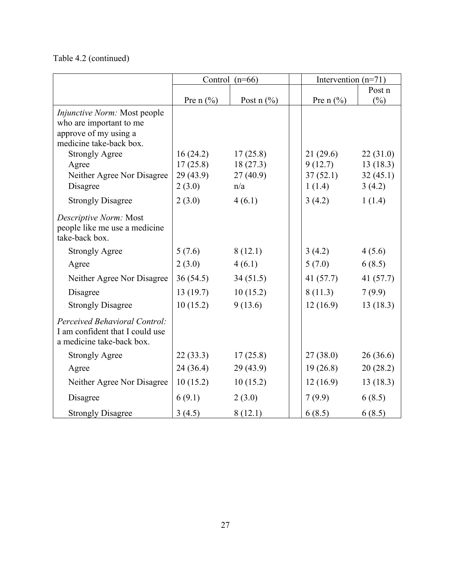Table 4.2 (continued)

|                                                                                               | Control $(n=66)$ |              | Intervention $(n=71)$ |             |
|-----------------------------------------------------------------------------------------------|------------------|--------------|-----------------------|-------------|
|                                                                                               |                  |              |                       | Post n      |
|                                                                                               | Pre n $(\% )$    | Post $n$ (%) | Pre n $(\% )$         | $(\%)$      |
| <i>Injunctive Norm:</i> Most people                                                           |                  |              |                       |             |
| who are important to me                                                                       |                  |              |                       |             |
| approve of my using a                                                                         |                  |              |                       |             |
| medicine take-back box.                                                                       |                  |              |                       |             |
| <b>Strongly Agree</b>                                                                         | 16(24.2)         | 17(25.8)     | 21(29.6)              | 22(31.0)    |
| Agree                                                                                         | 17(25.8)         | 18(27.3)     | 9(12.7)               | 13(18.3)    |
| Neither Agree Nor Disagree                                                                    | 29(43.9)         | 27(40.9)     | 37(52.1)              | 32(45.1)    |
| Disagree                                                                                      | 2(3.0)           | n/a          | 1(1.4)                | 3(4.2)      |
| <b>Strongly Disagree</b>                                                                      | 2(3.0)           | 4(6.1)       | 3(4.2)                | 1(1.4)      |
| Descriptive Norm: Most<br>people like me use a medicine<br>take-back box.                     |                  |              |                       |             |
| <b>Strongly Agree</b>                                                                         | 5(7.6)           | 8(12.1)      | 3(4.2)                | 4(5.6)      |
| Agree                                                                                         | 2(3.0)           | 4(6.1)       | 5(7.0)                | 6(8.5)      |
| Neither Agree Nor Disagree                                                                    | 36(54.5)         | 34(51.5)     | 41 $(57.7)$           | 41 $(57.7)$ |
| Disagree                                                                                      | 13(19.7)         | 10(15.2)     | 8(11.3)               | 7(9.9)      |
| <b>Strongly Disagree</b>                                                                      | 10(15.2)         | 9(13.6)      | 12(16.9)              | 13(18.3)    |
| Perceived Behavioral Control:<br>I am confident that I could use<br>a medicine take-back box. |                  |              |                       |             |
| <b>Strongly Agree</b>                                                                         | 22(33.3)         | 17(25.8)     | 27(38.0)              | 26(36.6)    |
| Agree                                                                                         | 24(36.4)         | 29(43.9)     | 19(26.8)              | 20(28.2)    |
| Neither Agree Nor Disagree                                                                    | 10(15.2)         | 10(15.2)     | 12(16.9)              | 13(18.3)    |
| Disagree                                                                                      | 6(9.1)           | 2(3.0)       | 7(9.9)                | 6(8.5)      |
| <b>Strongly Disagree</b>                                                                      | 3(4.5)           | 8(12.1)      | 6(8.5)                | 6(8.5)      |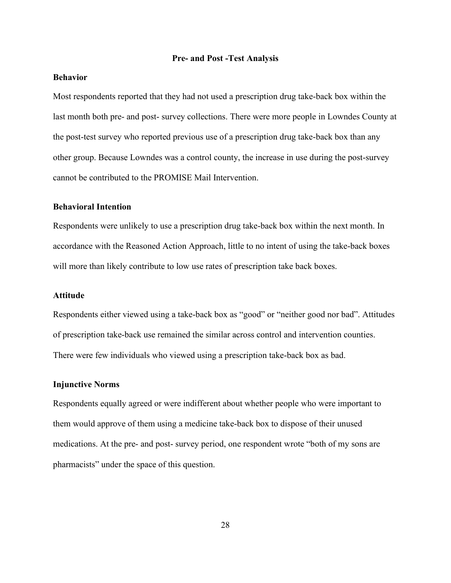#### **Pre- and Post -Test Analysis**

# <span id="page-37-1"></span><span id="page-37-0"></span>**Behavior**

Most respondents reported that they had not used a prescription drug take-back box within the last month both pre- and post- survey collections. There were more people in Lowndes County at the post-test survey who reported previous use of a prescription drug take-back box than any other group. Because Lowndes was a control county, the increase in use during the post-survey cannot be contributed to the PROMISE Mail Intervention.

### <span id="page-37-2"></span>**Behavioral Intention**

Respondents were unlikely to use a prescription drug take-back box within the next month. In accordance with the Reasoned Action Approach, little to no intent of using the take-back boxes will more than likely contribute to low use rates of prescription take back boxes.

# <span id="page-37-3"></span>**Attitude**

Respondents either viewed using a take-back box as "good" or "neither good nor bad". Attitudes of prescription take-back use remained the similar across control and intervention counties. There were few individuals who viewed using a prescription take-back box as bad.

#### <span id="page-37-4"></span>**Injunctive Norms**

Respondents equally agreed or were indifferent about whether people who were important to them would approve of them using a medicine take-back box to dispose of their unused medications. At the pre- and post- survey period, one respondent wrote "both of my sons are pharmacists" under the space of this question.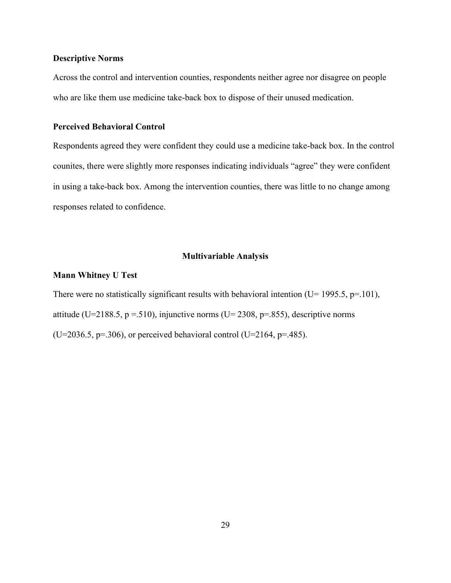#### <span id="page-38-0"></span>**Descriptive Norms**

Across the control and intervention counties, respondents neither agree nor disagree on people who are like them use medicine take-back box to dispose of their unused medication.

# <span id="page-38-1"></span>**Perceived Behavioral Control**

Respondents agreed they were confident they could use a medicine take-back box. In the control counites, there were slightly more responses indicating individuals "agree" they were confident in using a take-back box. Among the intervention counties, there was little to no change among responses related to confidence.

#### **Multivariable Analysis**

#### <span id="page-38-3"></span><span id="page-38-2"></span>**Mann Whitney U Test**

There were no statistically significant results with behavioral intention (U= 1995.5,  $p=101$ ), attitude (U=2188.5, p = .510), injunctive norms (U= 2308, p=.855), descriptive norms (U=2036.5, p=.306), or perceived behavioral control (U=2164, p=.485).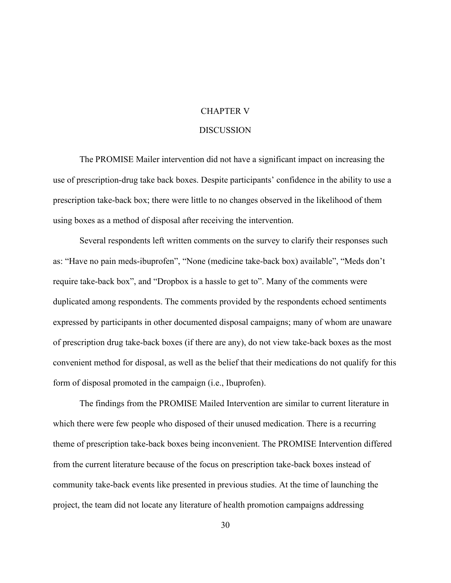# CHAPTER V

# **DISCUSSION**

<span id="page-39-0"></span>The PROMISE Mailer intervention did not have a significant impact on increasing the use of prescription-drug take back boxes. Despite participants' confidence in the ability to use a prescription take-back box; there were little to no changes observed in the likelihood of them using boxes as a method of disposal after receiving the intervention.

Several respondents left written comments on the survey to clarify their responses such as: "Have no pain meds-ibuprofen", "None (medicine take-back box) available", "Meds don't require take-back box", and "Dropbox is a hassle to get to". Many of the comments were duplicated among respondents. The comments provided by the respondents echoed sentiments expressed by participants in other documented disposal campaigns; many of whom are unaware of prescription drug take-back boxes (if there are any), do not view take-back boxes as the most convenient method for disposal, as well as the belief that their medications do not qualify for this form of disposal promoted in the campaign (i.e., Ibuprofen).

The findings from the PROMISE Mailed Intervention are similar to current literature in which there were few people who disposed of their unused medication. There is a recurring theme of prescription take-back boxes being inconvenient. The PROMISE Intervention differed from the current literature because of the focus on prescription take-back boxes instead of community take-back events like presented in previous studies. At the time of launching the project, the team did not locate any literature of health promotion campaigns addressing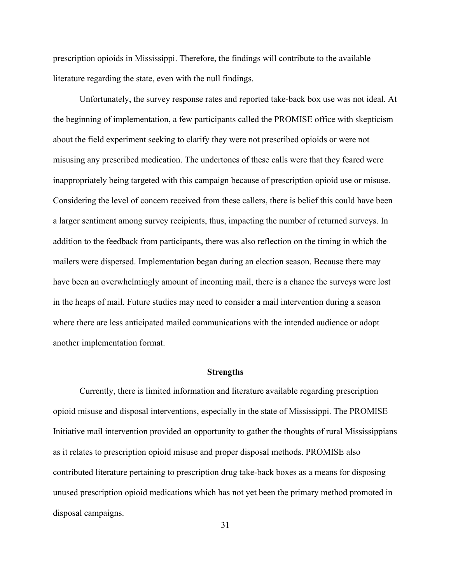prescription opioids in Mississippi. Therefore, the findings will contribute to the available literature regarding the state, even with the null findings.

Unfortunately, the survey response rates and reported take-back box use was not ideal. At the beginning of implementation, a few participants called the PROMISE office with skepticism about the field experiment seeking to clarify they were not prescribed opioids or were not misusing any prescribed medication. The undertones of these calls were that they feared were inappropriately being targeted with this campaign because of prescription opioid use or misuse. Considering the level of concern received from these callers, there is belief this could have been a larger sentiment among survey recipients, thus, impacting the number of returned surveys. In addition to the feedback from participants, there was also reflection on the timing in which the mailers were dispersed. Implementation began during an election season. Because there may have been an overwhelmingly amount of incoming mail, there is a chance the surveys were lost in the heaps of mail. Future studies may need to consider a mail intervention during a season where there are less anticipated mailed communications with the intended audience or adopt another implementation format.

#### **Strengths**

<span id="page-40-0"></span>Currently, there is limited information and literature available regarding prescription opioid misuse and disposal interventions, especially in the state of Mississippi. The PROMISE Initiative mail intervention provided an opportunity to gather the thoughts of rural Mississippians as it relates to prescription opioid misuse and proper disposal methods. PROMISE also contributed literature pertaining to prescription drug take-back boxes as a means for disposing unused prescription opioid medications which has not yet been the primary method promoted in disposal campaigns.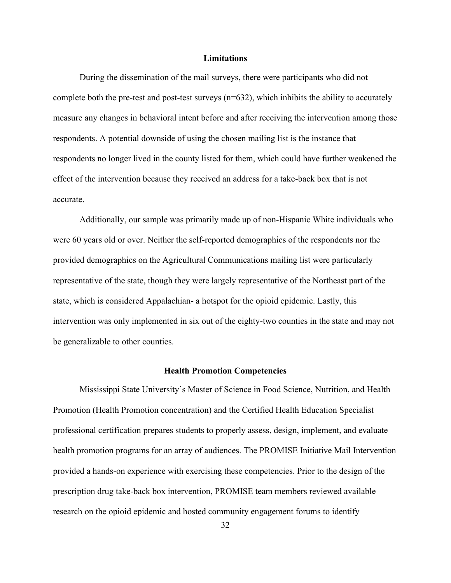### **Limitations**

<span id="page-41-0"></span>During the dissemination of the mail surveys, there were participants who did not complete both the pre-test and post-test surveys  $(n=632)$ , which inhibits the ability to accurately measure any changes in behavioral intent before and after receiving the intervention among those respondents. A potential downside of using the chosen mailing list is the instance that respondents no longer lived in the county listed for them, which could have further weakened the effect of the intervention because they received an address for a take-back box that is not accurate.

Additionally, our sample was primarily made up of non-Hispanic White individuals who were 60 years old or over. Neither the self-reported demographics of the respondents nor the provided demographics on the Agricultural Communications mailing list were particularly representative of the state, though they were largely representative of the Northeast part of the state, which is considered Appalachian- a hotspot for the opioid epidemic. Lastly, this intervention was only implemented in six out of the eighty-two counties in the state and may not be generalizable to other counties.

#### **Health Promotion Competencies**

<span id="page-41-1"></span>Mississippi State University's Master of Science in Food Science, Nutrition, and Health Promotion (Health Promotion concentration) and the Certified Health Education Specialist professional certification prepares students to properly assess, design, implement, and evaluate health promotion programs for an array of audiences. The PROMISE Initiative Mail Intervention provided a hands-on experience with exercising these competencies. Prior to the design of the prescription drug take-back box intervention, PROMISE team members reviewed available research on the opioid epidemic and hosted community engagement forums to identify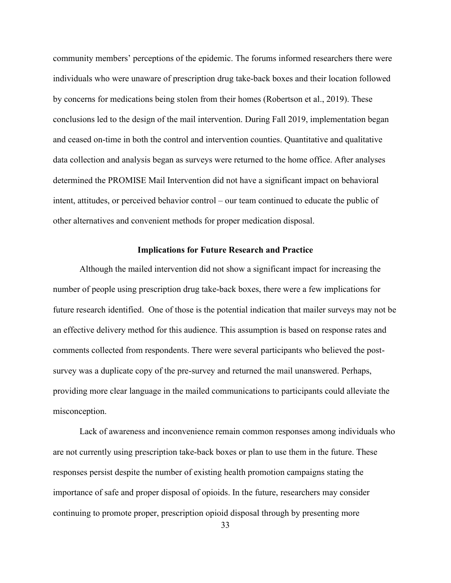community members' perceptions of the epidemic. The forums informed researchers there were individuals who were unaware of prescription drug take-back boxes and their location followed by concerns for medications being stolen from their homes (Robertson et al., 2019). These conclusions led to the design of the mail intervention. During Fall 2019, implementation began and ceased on-time in both the control and intervention counties. Quantitative and qualitative data collection and analysis began as surveys were returned to the home office. After analyses determined the PROMISE Mail Intervention did not have a significant impact on behavioral intent, attitudes, or perceived behavior control – our team continued to educate the public of other alternatives and convenient methods for proper medication disposal.

#### **Implications for Future Research and Practice**

<span id="page-42-0"></span>Although the mailed intervention did not show a significant impact for increasing the number of people using prescription drug take-back boxes, there were a few implications for future research identified. One of those is the potential indication that mailer surveys may not be an effective delivery method for this audience. This assumption is based on response rates and comments collected from respondents. There were several participants who believed the postsurvey was a duplicate copy of the pre-survey and returned the mail unanswered. Perhaps, providing more clear language in the mailed communications to participants could alleviate the misconception.

Lack of awareness and inconvenience remain common responses among individuals who are not currently using prescription take-back boxes or plan to use them in the future. These responses persist despite the number of existing health promotion campaigns stating the importance of safe and proper disposal of opioids. In the future, researchers may consider continuing to promote proper, prescription opioid disposal through by presenting more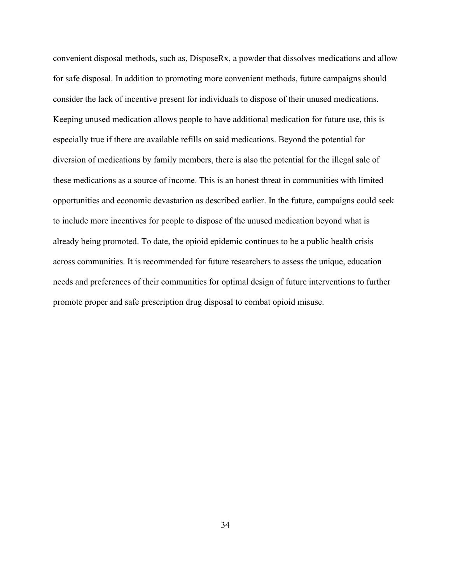convenient disposal methods, such as, DisposeRx, a powder that dissolves medications and allow for safe disposal. In addition to promoting more convenient methods, future campaigns should consider the lack of incentive present for individuals to dispose of their unused medications. Keeping unused medication allows people to have additional medication for future use, this is especially true if there are available refills on said medications. Beyond the potential for diversion of medications by family members, there is also the potential for the illegal sale of these medications as a source of income. This is an honest threat in communities with limited opportunities and economic devastation as described earlier. In the future, campaigns could seek to include more incentives for people to dispose of the unused medication beyond what is already being promoted. To date, the opioid epidemic continues to be a public health crisis across communities. It is recommended for future researchers to assess the unique, education needs and preferences of their communities for optimal design of future interventions to further promote proper and safe prescription drug disposal to combat opioid misuse.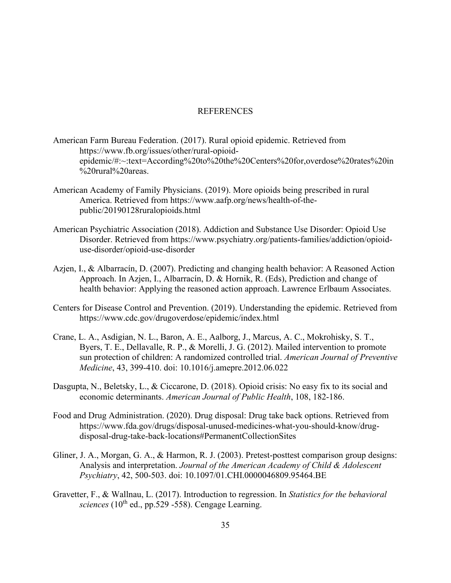#### REFERENCES

- <span id="page-44-0"></span>American Farm Bureau Federation. (2017). Rural opioid epidemic. Retrieved from https://www.fb.org/issues/other/rural-opioidepidemic/#:~:text=According%20to%20the%20Centers%20for,overdose%20rates%20in %20rural%20areas.
- American Academy of Family Physicians. (2019). More opioids being prescribed in rural America. Retrieved from https://www.aafp.org/news/health-of-thepublic/20190128ruralopioids.html
- American Psychiatric Association (2018). Addiction and Substance Use Disorder: Opioid Use Disorder. Retrieved from https://www.psychiatry.org/patients-families/addiction/opioiduse-disorder/opioid-use-disorder
- Azjen, I., & Albarracín, D. (2007). Predicting and changing health behavior: A Reasoned Action Approach. In Azjen, I., Albarracín, D. & Hornik, R. (Eds), Prediction and change of health behavior: Applying the reasoned action approach. Lawrence Erlbaum Associates.
- Centers for Disease Control and Prevention. (2019). Understanding the epidemic. Retrieved from https://www.cdc.gov/drugoverdose/epidemic/index.html
- Crane, L. A., Asdigian, N. L., Baron, A. E., Aalborg, J., Marcus, A. C., Mokrohisky, S. T., Byers, T. E., Dellavalle, R. P., & Morelli, J. G. (2012). Mailed intervention to promote sun protection of children: A randomized controlled trial. *American Journal of Preventive Medicine*, 43, 399-410. doi: 10.1016/j.amepre.2012.06.022
- Dasgupta, N., Beletsky, L., & Ciccarone, D. (2018). Opioid crisis: No easy fix to its social and economic determinants. *American Journal of Public Health*, 108, 182-186.
- Food and Drug Administration. (2020). Drug disposal: Drug take back options. Retrieved from https://www.fda.gov/drugs/disposal-unused-medicines-what-you-should-know/drugdisposal-drug-take-back-locations#PermanentCollectionSites
- Gliner, J. A., Morgan, G. A., & Harmon, R. J. (2003). Pretest-posttest comparison group designs: Analysis and interpretation. *Journal of the American Academy of Child & Adolescent Psychiatry*, 42, 500-503. doi: 10.1097/01.CHI.0000046809.95464.BE
- Gravetter, F., & Wallnau, L. (2017). Introduction to regression. In *Statistics for the behavioral*   $sciences$  ( $10<sup>th</sup>$  ed.,  $pp.529$  -558). Cengage Learning.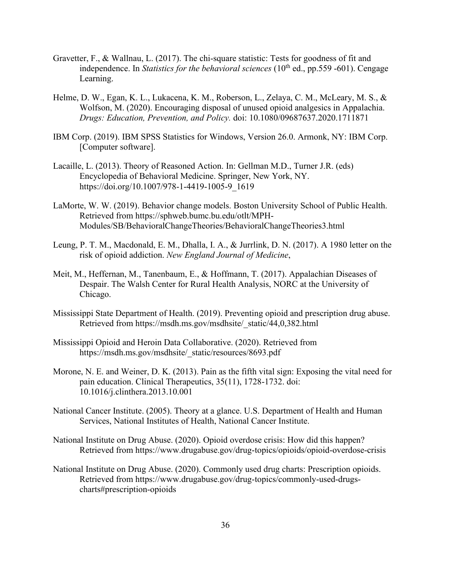- Gravetter, F., & Wallnau, L. (2017). The chi-square statistic: Tests for goodness of fit and independence. In *Statistics for the behavioral sciences*  $(10<sup>th</sup>$  ed., pp.559 -601). Cengage Learning.
- Helme, D. W., Egan, K. L., Lukacena, K. M., Roberson, L., Zelaya, C. M., McLeary, M. S., & Wolfson, M. (2020). Encouraging disposal of unused opioid analgesics in Appalachia. *Drugs: Education, Prevention, and Policy.* doi: 10.1080/09687637.2020.1711871
- IBM Corp. (2019). IBM SPSS Statistics for Windows, Version 26.0. Armonk, NY: IBM Corp. [Computer software].
- Lacaille, L. (2013). Theory of Reasoned Action. In: Gellman M.D., Turner J.R. (eds) Encyclopedia of Behavioral Medicine. Springer, New York, NY. https://doi.org/10.1007/978-1-4419-1005-9\_1619
- LaMorte, W. W. (2019). Behavior change models. Boston University School of Public Health. Retrieved from https://sphweb.bumc.bu.edu/otlt/MPH-Modules/SB/BehavioralChangeTheories/BehavioralChangeTheories3.html
- Leung, P. T. M., Macdonald, E. M., Dhalla, I. A., & Jurrlink, D. N. (2017). A 1980 letter on the risk of opioid addiction. *New England Journal of Medicine*,
- Meit, M., Heffernan, M., Tanenbaum, E., & Hoffmann, T. (2017). Appalachian Diseases of Despair. The Walsh Center for Rural Health Analysis, NORC at the University of Chicago.
- Mississippi State Department of Health. (2019). Preventing opioid and prescription drug abuse. Retrieved from https://msdh.ms.gov/msdhsite/\_static/44,0,382.html
- Mississippi Opioid and Heroin Data Collaborative. (2020). Retrieved from https://msdh.ms.gov/msdhsite/\_static/resources/8693.pdf
- Morone, N. E. and Weiner, D. K. (2013). Pain as the fifth vital sign: Exposing the vital need for pain education. Clinical Therapeutics, 35(11), 1728-1732. doi: 10.1016/j.clinthera.2013.10.001
- National Cancer Institute. (2005). Theory at a glance. U.S. Department of Health and Human Services, National Institutes of Health, National Cancer Institute.
- National Institute on Drug Abuse. (2020). Opioid overdose crisis: How did this happen? Retrieved from https://www.drugabuse.gov/drug-topics/opioids/opioid-overdose-crisis
- National Institute on Drug Abuse. (2020). Commonly used drug charts: Prescription opioids. Retrieved from https://www.drugabuse.gov/drug-topics/commonly-used-drugscharts#prescription-opioids